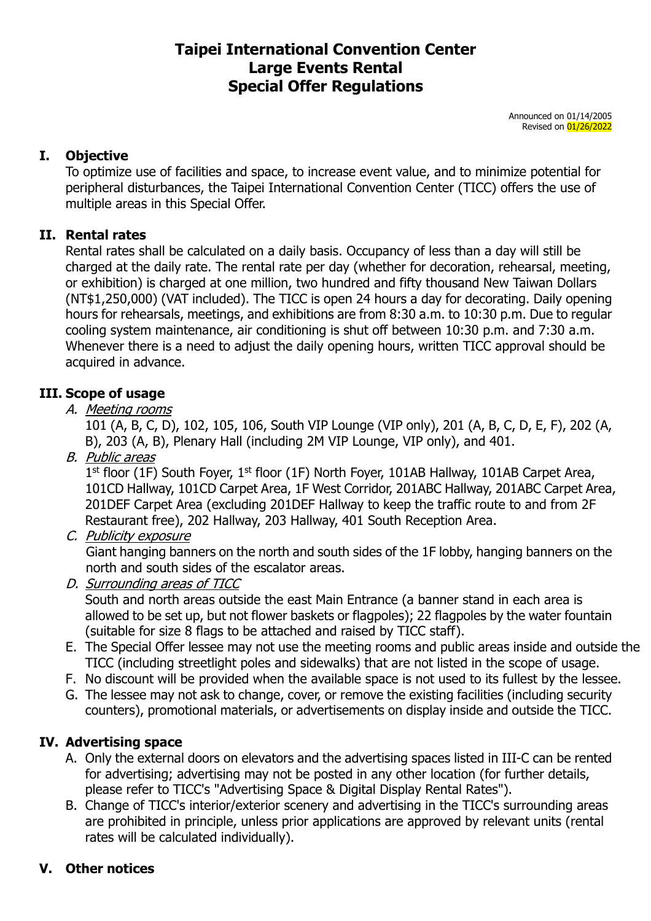# **Taipei International Convention Center Large Events Rental Special Offer Regulations**

Announced on 01/14/2005 Revised on 01/26/2022

## **I. Objective**

To optimize use of facilities and space, to increase event value, and to minimize potential for peripheral disturbances, the Taipei International Convention Center (TICC) offers the use of multiple areas in this Special Offer.

## **II. Rental rates**

Rental rates shall be calculated on a daily basis. Occupancy of less than a day will still be charged at the daily rate. The rental rate per day (whether for decoration, rehearsal, meeting, or exhibition) is charged at one million, two hundred and fifty thousand New Taiwan Dollars (NT\$1,250,000) (VAT included). The TICC is open 24 hours a day for decorating. Daily opening hours for rehearsals, meetings, and exhibitions are from 8:30 a.m. to 10:30 p.m. Due to regular cooling system maintenance, air conditioning is shut off between 10:30 p.m. and 7:30 a.m. Whenever there is a need to adjust the daily opening hours, written TICC approval should be acquired in advance.

## **III. Scope of usage**

A. Meeting rooms

101 (A, B, C, D), 102, 105, 106, South VIP Lounge (VIP only), 201 (A, B, C, D, E, F), 202 (A, B), 203 (A, B), Plenary Hall (including 2M VIP Lounge, VIP only), and 401.

B. Public areas

1<sup>st</sup> floor (1F) South Foyer, 1<sup>st</sup> floor (1F) North Foyer, 101AB Hallway, 101AB Carpet Area, 101CD Hallway, 101CD Carpet Area, 1F West Corridor, 201ABC Hallway, 201ABC Carpet Area, 201DEF Carpet Area (excluding 201DEF Hallway to keep the traffic route to and from 2F Restaurant free), 202 Hallway, 203 Hallway, 401 South Reception Area.

C. Publicity exposure

Giant hanging banners on the north and south sides of the 1F lobby, hanging banners on the north and south sides of the escalator areas.

D. Surrounding areas of TICC

South and north areas outside the east Main Entrance (a banner stand in each area is allowed to be set up, but not flower baskets or flagpoles); 22 flagpoles by the water fountain (suitable for size 8 flags to be attached and raised by TICC staff).

- E. The Special Offer lessee may not use the meeting rooms and public areas inside and outside the TICC (including streetlight poles and sidewalks) that are not listed in the scope of usage.
- F. No discount will be provided when the available space is not used to its fullest by the lessee.
- G. The lessee may not ask to change, cover, or remove the existing facilities (including security counters), promotional materials, or advertisements on display inside and outside the TICC.

## **IV. Advertising space**

- A. Only the external doors on elevators and the advertising spaces listed in III-C can be rented for advertising; advertising may not be posted in any other location (for further details, please refer to TICC's "Advertising Space & Digital Display Rental Rates").
- B. Change of TICC's interior/exterior scenery and advertising in the TICC's surrounding areas are prohibited in principle, unless prior applications are approved by relevant units (rental rates will be calculated individually).

## **V. Other notices**